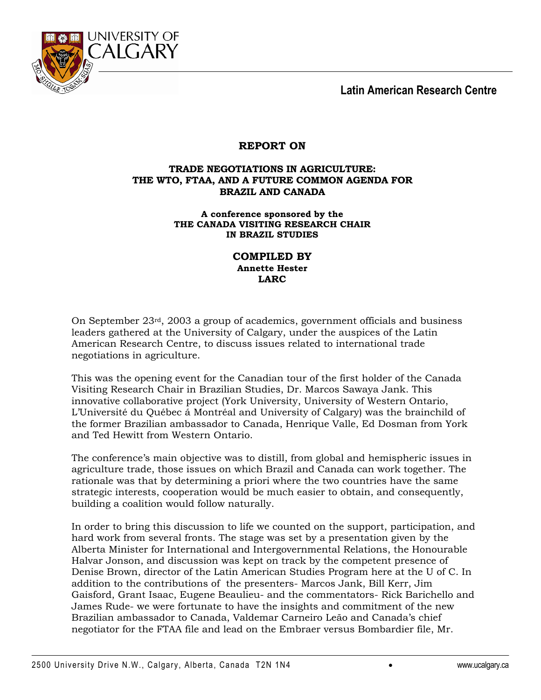

# **REPORT ON**

## **TRADE NEGOTIATIONS IN AGRICULTURE: THE WTO, FTAA, AND A FUTURE COMMON AGENDA FOR BRAZIL AND CANADA**

### **A conference sponsored by the THE CANADA VISITING RESEARCH CHAIR IN BRAZIL STUDIES**

## **COMPILED BY Annette Hester LARC**

On September 23rd, 2003 a group of academics, government officials and business leaders gathered at the University of Calgary, under the auspices of the Latin American Research Centre, to discuss issues related to international trade negotiations in agriculture.

This was the opening event for the Canadian tour of the first holder of the Canada Visiting Research Chair in Brazilian Studies, Dr. Marcos Sawaya Jank. This innovative collaborative project (York University, University of Western Ontario, L'Université du Québec á Montréal and University of Calgary) was the brainchild of the former Brazilian ambassador to Canada, Henrique Valle, Ed Dosman from York and Ted Hewitt from Western Ontario.

The conference's main objective was to distill, from global and hemispheric issues in agriculture trade, those issues on which Brazil and Canada can work together. The rationale was that by determining a priori where the two countries have the same strategic interests, cooperation would be much easier to obtain, and consequently, building a coalition would follow naturally.

In order to bring this discussion to life we counted on the support, participation, and hard work from several fronts. The stage was set by a presentation given by the Alberta Minister for International and Intergovernmental Relations, the Honourable Halvar Jonson, and discussion was kept on track by the competent presence of Denise Brown, director of the Latin American Studies Program here at the U of C. In addition to the contributions of the presenters- Marcos Jank, Bill Kerr, Jim Gaisford, Grant Isaac, Eugene Beaulieu- and the commentators- Rick Barichello and James Rude- we were fortunate to have the insights and commitment of the new Brazilian ambassador to Canada, Valdemar Carneiro Leão and Canada's chief negotiator for the FTAA file and lead on the Embraer versus Bombardier file, Mr.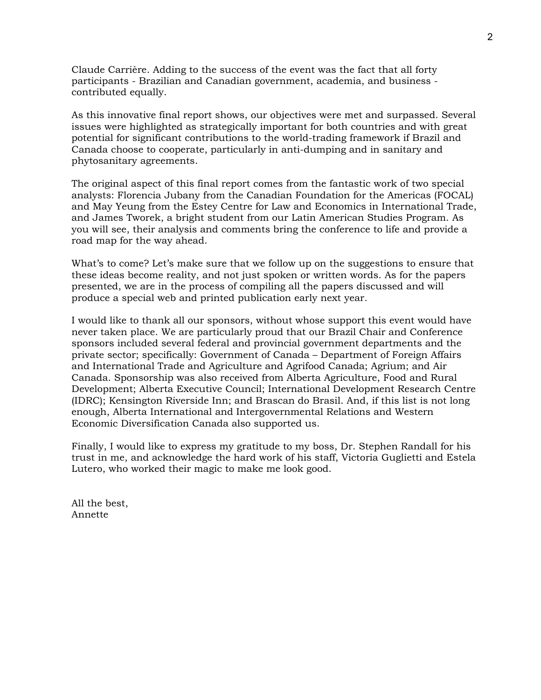Claude Carrière. Adding to the success of the event was the fact that all forty participants - Brazilian and Canadian government, academia, and business contributed equally.

As this innovative final report shows, our objectives were met and surpassed. Several issues were highlighted as strategically important for both countries and with great potential for significant contributions to the world-trading framework if Brazil and Canada choose to cooperate, particularly in anti-dumping and in sanitary and phytosanitary agreements.

The original aspect of this final report comes from the fantastic work of two special analysts: Florencia Jubany from the Canadian Foundation for the Americas (FOCAL) and May Yeung from the Estey Centre for Law and Economics in International Trade, and James Tworek, a bright student from our Latin American Studies Program. As you will see, their analysis and comments bring the conference to life and provide a road map for the way ahead.

What's to come? Let's make sure that we follow up on the suggestions to ensure that these ideas become reality, and not just spoken or written words. As for the papers presented, we are in the process of compiling all the papers discussed and will produce a special web and printed publication early next year.

I would like to thank all our sponsors, without whose support this event would have never taken place. We are particularly proud that our Brazil Chair and Conference sponsors included several federal and provincial government departments and the private sector; specifically: Government of Canada – Department of Foreign Affairs and International Trade and Agriculture and Agrifood Canada; Agrium; and Air Canada. Sponsorship was also received from Alberta Agriculture, Food and Rural Development; Alberta Executive Council; International Development Research Centre (IDRC); Kensington Riverside Inn; and Brascan do Brasil. And, if this list is not long enough, Alberta International and Intergovernmental Relations and Western Economic Diversification Canada also supported us.

Finally, I would like to express my gratitude to my boss, Dr. Stephen Randall for his trust in me, and acknowledge the hard work of his staff, Victoria Guglietti and Estela Lutero, who worked their magic to make me look good.

All the best, Annette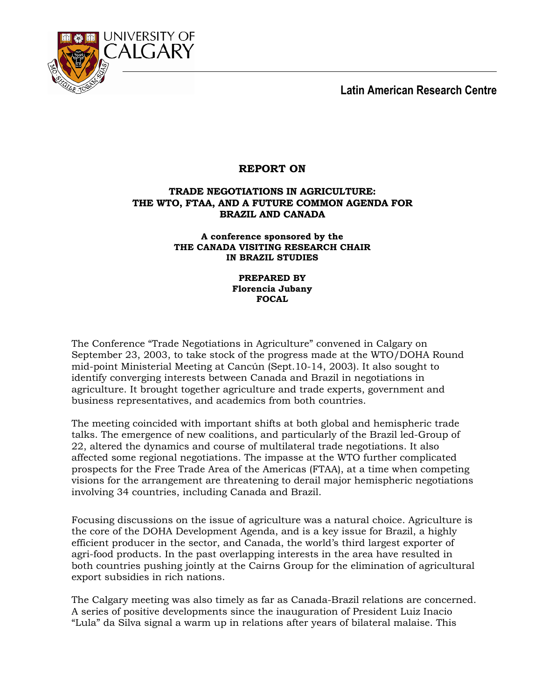

# **REPORT ON**

## **TRADE NEGOTIATIONS IN AGRICULTURE: THE WTO, FTAA, AND A FUTURE COMMON AGENDA FOR BRAZIL AND CANADA**

#### **A conference sponsored by the THE CANADA VISITING RESEARCH CHAIR IN BRAZIL STUDIES**

### **PREPARED BY Florencia Jubany FOCAL**

The Conference "Trade Negotiations in Agriculture" convened in Calgary on September 23, 2003, to take stock of the progress made at the WTO/DOHA Round mid-point Ministerial Meeting at Cancún (Sept.10-14, 2003). It also sought to identify converging interests between Canada and Brazil in negotiations in agriculture. It brought together agriculture and trade experts, government and business representatives, and academics from both countries.

The meeting coincided with important shifts at both global and hemispheric trade talks. The emergence of new coalitions, and particularly of the Brazil led-Group of 22, altered the dynamics and course of multilateral trade negotiations. It also affected some regional negotiations. The impasse at the WTO further complicated prospects for the Free Trade Area of the Americas (FTAA), at a time when competing visions for the arrangement are threatening to derail major hemispheric negotiations involving 34 countries, including Canada and Brazil.

Focusing discussions on the issue of agriculture was a natural choice. Agriculture is the core of the DOHA Development Agenda, and is a key issue for Brazil, a highly efficient producer in the sector, and Canada, the world's third largest exporter of agri-food products. In the past overlapping interests in the area have resulted in both countries pushing jointly at the Cairns Group for the elimination of agricultural export subsidies in rich nations.

The Calgary meeting was also timely as far as Canada-Brazil relations are concerned. A series of positive developments since the inauguration of President Luiz Inacio "Lula" da Silva signal a warm up in relations after years of bilateral malaise. This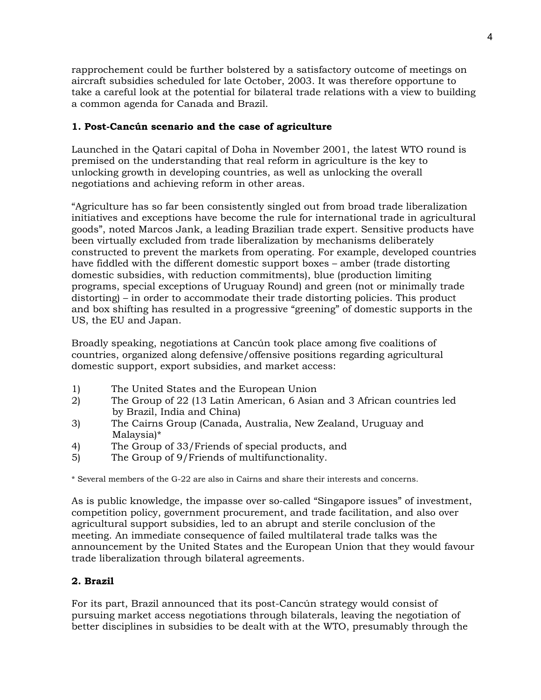rapprochement could be further bolstered by a satisfactory outcome of meetings on aircraft subsidies scheduled for late October, 2003. It was therefore opportune to take a careful look at the potential for bilateral trade relations with a view to building a common agenda for Canada and Brazil.

## **1. Post-Cancún scenario and the case of agriculture**

Launched in the Qatari capital of Doha in November 2001, the latest WTO round is premised on the understanding that real reform in agriculture is the key to unlocking growth in developing countries, as well as unlocking the overall negotiations and achieving reform in other areas.

"Agriculture has so far been consistently singled out from broad trade liberalization initiatives and exceptions have become the rule for international trade in agricultural goods", noted Marcos Jank, a leading Brazilian trade expert. Sensitive products have been virtually excluded from trade liberalization by mechanisms deliberately constructed to prevent the markets from operating. For example, developed countries have fiddled with the different domestic support boxes – amber (trade distorting domestic subsidies, with reduction commitments), blue (production limiting programs, special exceptions of Uruguay Round) and green (not or minimally trade distorting) – in order to accommodate their trade distorting policies. This product and box shifting has resulted in a progressive "greening" of domestic supports in the US, the EU and Japan.

Broadly speaking, negotiations at Cancún took place among five coalitions of countries, organized along defensive/offensive positions regarding agricultural domestic support, export subsidies, and market access:

- 1) The United States and the European Union
- 2) The Group of 22 (13 Latin American, 6 Asian and 3 African countries led by Brazil, India and China)
- 3) The Cairns Group (Canada, Australia, New Zealand, Uruguay and Malaysia)\*
- 4) The Group of 33/Friends of special products, and
- 5) The Group of 9/Friends of multifunctionality.

\* Several members of the G-22 are also in Cairns and share their interests and concerns.

As is public knowledge, the impasse over so-called "Singapore issues" of investment, competition policy, government procurement, and trade facilitation, and also over agricultural support subsidies, led to an abrupt and sterile conclusion of the meeting. An immediate consequence of failed multilateral trade talks was the announcement by the United States and the European Union that they would favour trade liberalization through bilateral agreements.

# **2. Brazil**

For its part, Brazil announced that its post-Cancún strategy would consist of pursuing market access negotiations through bilaterals, leaving the negotiation of better disciplines in subsidies to be dealt with at the WTO, presumably through the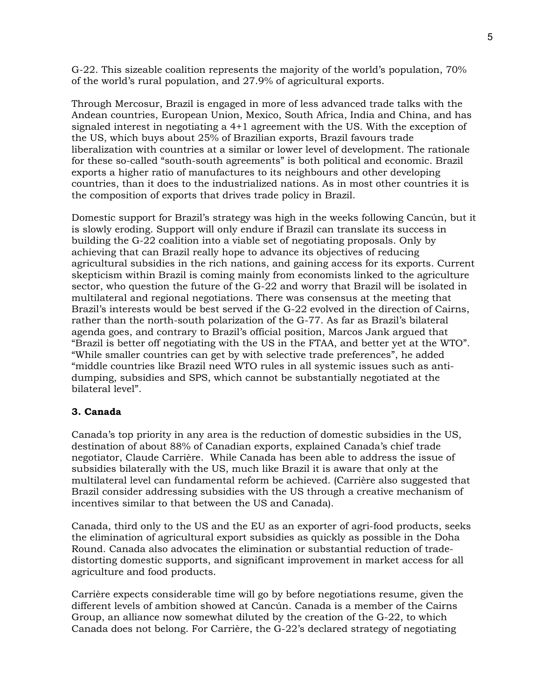G-22. This sizeable coalition represents the majority of the world's population, 70% of the world's rural population, and 27.9% of agricultural exports.

Through Mercosur, Brazil is engaged in more of less advanced trade talks with the Andean countries, European Union, Mexico, South Africa, India and China, and has signaled interest in negotiating a 4+1 agreement with the US. With the exception of the US, which buys about 25% of Brazilian exports, Brazil favours trade liberalization with countries at a similar or lower level of development. The rationale for these so-called "south-south agreements" is both political and economic. Brazil exports a higher ratio of manufactures to its neighbours and other developing countries, than it does to the industrialized nations. As in most other countries it is the composition of exports that drives trade policy in Brazil.

Domestic support for Brazil's strategy was high in the weeks following Cancún, but it is slowly eroding. Support will only endure if Brazil can translate its success in building the G-22 coalition into a viable set of negotiating proposals. Only by achieving that can Brazil really hope to advance its objectives of reducing agricultural subsidies in the rich nations, and gaining access for its exports. Current skepticism within Brazil is coming mainly from economists linked to the agriculture sector, who question the future of the G-22 and worry that Brazil will be isolated in multilateral and regional negotiations. There was consensus at the meeting that Brazil's interests would be best served if the G-22 evolved in the direction of Cairns, rather than the north-south polarization of the G-77. As far as Brazil's bilateral agenda goes, and contrary to Brazil's official position, Marcos Jank argued that "Brazil is better off negotiating with the US in the FTAA, and better yet at the WTO". "While smaller countries can get by with selective trade preferences", he added "middle countries like Brazil need WTO rules in all systemic issues such as antidumping, subsidies and SPS, which cannot be substantially negotiated at the bilateral level".

### **3. Canada**

Canada's top priority in any area is the reduction of domestic subsidies in the US, destination of about 88% of Canadian exports, explained Canada's chief trade negotiator, Claude Carrière. While Canada has been able to address the issue of subsidies bilaterally with the US, much like Brazil it is aware that only at the multilateral level can fundamental reform be achieved. (Carrière also suggested that Brazil consider addressing subsidies with the US through a creative mechanism of incentives similar to that between the US and Canada).

Canada, third only to the US and the EU as an exporter of agri-food products, seeks the elimination of agricultural export subsidies as quickly as possible in the Doha Round. Canada also advocates the elimination or substantial reduction of tradedistorting domestic supports, and significant improvement in market access for all agriculture and food products.

Carrière expects considerable time will go by before negotiations resume, given the different levels of ambition showed at Cancún. Canada is a member of the Cairns Group, an alliance now somewhat diluted by the creation of the G-22, to which Canada does not belong. For Carrière, the G-22's declared strategy of negotiating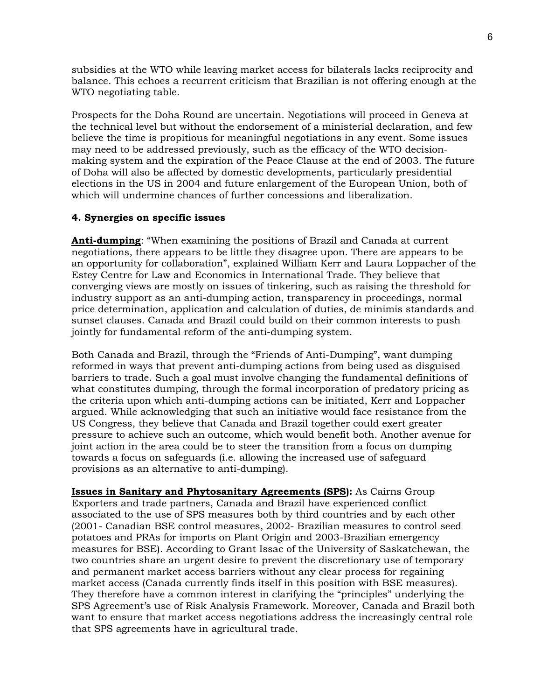subsidies at the WTO while leaving market access for bilaterals lacks reciprocity and balance. This echoes a recurrent criticism that Brazilian is not offering enough at the WTO negotiating table.

Prospects for the Doha Round are uncertain. Negotiations will proceed in Geneva at the technical level but without the endorsement of a ministerial declaration, and few believe the time is propitious for meaningful negotiations in any event. Some issues may need to be addressed previously, such as the efficacy of the WTO decisionmaking system and the expiration of the Peace Clause at the end of 2003. The future of Doha will also be affected by domestic developments, particularly presidential elections in the US in 2004 and future enlargement of the European Union, both of which will undermine chances of further concessions and liberalization.

## **4. Synergies on specific issues**

**Anti-dumping**: "When examining the positions of Brazil and Canada at current negotiations, there appears to be little they disagree upon. There are appears to be an opportunity for collaboration", explained William Kerr and Laura Loppacher of the Estey Centre for Law and Economics in International Trade. They believe that converging views are mostly on issues of tinkering, such as raising the threshold for industry support as an anti-dumping action, transparency in proceedings, normal price determination, application and calculation of duties, de minimis standards and sunset clauses. Canada and Brazil could build on their common interests to push jointly for fundamental reform of the anti-dumping system.

Both Canada and Brazil, through the "Friends of Anti-Dumping", want dumping reformed in ways that prevent anti-dumping actions from being used as disguised barriers to trade. Such a goal must involve changing the fundamental definitions of what constitutes dumping, through the formal incorporation of predatory pricing as the criteria upon which anti-dumping actions can be initiated, Kerr and Loppacher argued. While acknowledging that such an initiative would face resistance from the US Congress, they believe that Canada and Brazil together could exert greater pressure to achieve such an outcome, which would benefit both. Another avenue for joint action in the area could be to steer the transition from a focus on dumping towards a focus on safeguards (i.e. allowing the increased use of safeguard provisions as an alternative to anti-dumping).

**Issues in Sanitary and Phytosanitary Agreements (SPS):** As Cairns Group Exporters and trade partners, Canada and Brazil have experienced conflict associated to the use of SPS measures both by third countries and by each other (2001- Canadian BSE control measures, 2002- Brazilian measures to control seed potatoes and PRAs for imports on Plant Origin and 2003-Brazilian emergency measures for BSE). According to Grant Issac of the University of Saskatchewan, the two countries share an urgent desire to prevent the discretionary use of temporary and permanent market access barriers without any clear process for regaining market access (Canada currently finds itself in this position with BSE measures). They therefore have a common interest in clarifying the "principles" underlying the SPS Agreement's use of Risk Analysis Framework. Moreover, Canada and Brazil both want to ensure that market access negotiations address the increasingly central role that SPS agreements have in agricultural trade.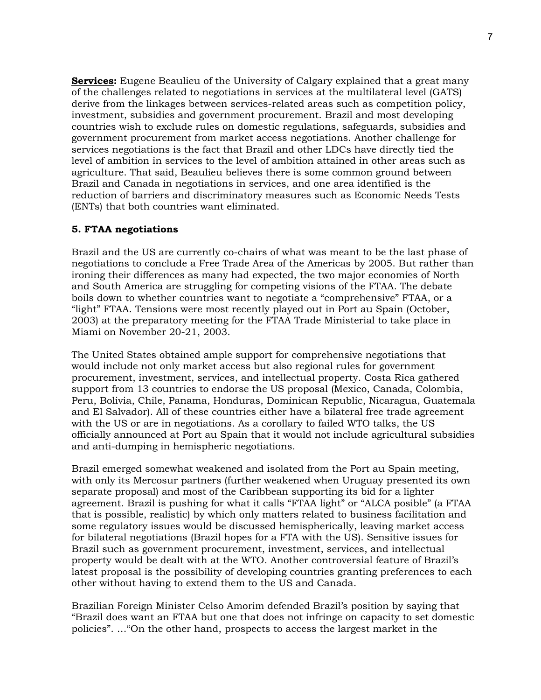**Services:** Eugene Beaulieu of the University of Calgary explained that a great many of the challenges related to negotiations in services at the multilateral level (GATS) derive from the linkages between services-related areas such as competition policy, investment, subsidies and government procurement. Brazil and most developing countries wish to exclude rules on domestic regulations, safeguards, subsidies and government procurement from market access negotiations. Another challenge for services negotiations is the fact that Brazil and other LDCs have directly tied the level of ambition in services to the level of ambition attained in other areas such as agriculture. That said, Beaulieu believes there is some common ground between Brazil and Canada in negotiations in services, and one area identified is the reduction of barriers and discriminatory measures such as Economic Needs Tests (ENTs) that both countries want eliminated.

### **5. FTAA negotiations**

Brazil and the US are currently co-chairs of what was meant to be the last phase of negotiations to conclude a Free Trade Area of the Americas by 2005. But rather than ironing their differences as many had expected, the two major economies of North and South America are struggling for competing visions of the FTAA. The debate boils down to whether countries want to negotiate a "comprehensive" FTAA, or a "light" FTAA. Tensions were most recently played out in Port au Spain (October, 2003) at the preparatory meeting for the FTAA Trade Ministerial to take place in Miami on November 20-21, 2003.

The United States obtained ample support for comprehensive negotiations that would include not only market access but also regional rules for government procurement, investment, services, and intellectual property. Costa Rica gathered support from 13 countries to endorse the US proposal (Mexico, Canada, Colombia, Peru, Bolivia, Chile, Panama, Honduras, Dominican Republic, Nicaragua, Guatemala and El Salvador). All of these countries either have a bilateral free trade agreement with the US or are in negotiations. As a corollary to failed WTO talks, the US officially announced at Port au Spain that it would not include agricultural subsidies and anti-dumping in hemispheric negotiations.

Brazil emerged somewhat weakened and isolated from the Port au Spain meeting, with only its Mercosur partners (further weakened when Uruguay presented its own separate proposal) and most of the Caribbean supporting its bid for a lighter agreement. Brazil is pushing for what it calls "FTAA light" or "ALCA posible" (a FTAA that is possible, realistic) by which only matters related to business facilitation and some regulatory issues would be discussed hemispherically, leaving market access for bilateral negotiations (Brazil hopes for a FTA with the US). Sensitive issues for Brazil such as government procurement, investment, services, and intellectual property would be dealt with at the WTO. Another controversial feature of Brazil's latest proposal is the possibility of developing countries granting preferences to each other without having to extend them to the US and Canada.

Brazilian Foreign Minister Celso Amorim defended Brazil's position by saying that "Brazil does want an FTAA but one that does not infringe on capacity to set domestic policies". …"On the other hand, prospects to access the largest market in the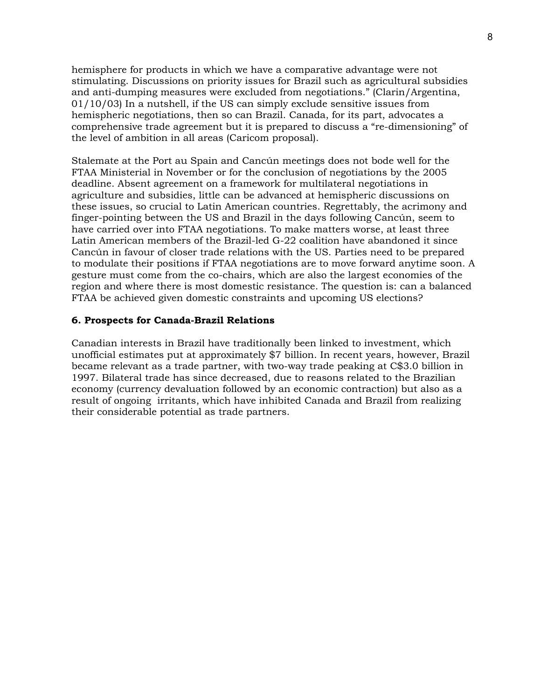hemisphere for products in which we have a comparative advantage were not stimulating. Discussions on priority issues for Brazil such as agricultural subsidies and anti-dumping measures were excluded from negotiations." (Clarin/Argentina, 01/10/03) In a nutshell, if the US can simply exclude sensitive issues from hemispheric negotiations, then so can Brazil. Canada, for its part, advocates a comprehensive trade agreement but it is prepared to discuss a "re-dimensioning" of the level of ambition in all areas (Caricom proposal).

Stalemate at the Port au Spain and Cancún meetings does not bode well for the FTAA Ministerial in November or for the conclusion of negotiations by the 2005 deadline. Absent agreement on a framework for multilateral negotiations in agriculture and subsidies, little can be advanced at hemispheric discussions on these issues, so crucial to Latin American countries. Regrettably, the acrimony and finger-pointing between the US and Brazil in the days following Cancún, seem to have carried over into FTAA negotiations. To make matters worse, at least three Latin American members of the Brazil-led G-22 coalition have abandoned it since Cancún in favour of closer trade relations with the US. Parties need to be prepared to modulate their positions if FTAA negotiations are to move forward anytime soon. A gesture must come from the co-chairs, which are also the largest economies of the region and where there is most domestic resistance. The question is: can a balanced FTAA be achieved given domestic constraints and upcoming US elections?

### **6. Prospects for Canada-Brazil Relations**

Canadian interests in Brazil have traditionally been linked to investment, which unofficial estimates put at approximately \$7 billion. In recent years, however, Brazil became relevant as a trade partner, with two-way trade peaking at C\$3.0 billion in 1997. Bilateral trade has since decreased, due to reasons related to the Brazilian economy (currency devaluation followed by an economic contraction) but also as a result of ongoing irritants, which have inhibited Canada and Brazil from realizing their considerable potential as trade partners.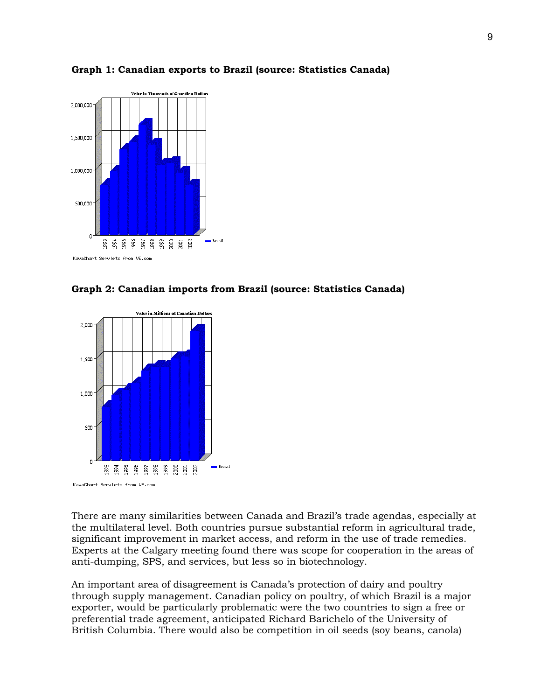



**Graph 2: Canadian imports from Brazil (source: Statistics Canada)**



There are many similarities between Canada and Brazil's trade agendas, especially at the multilateral level. Both countries pursue substantial reform in agricultural trade, significant improvement in market access, and reform in the use of trade remedies. Experts at the Calgary meeting found there was scope for cooperation in the areas of anti-dumping, SPS, and services, but less so in biotechnology.

An important area of disagreement is Canada's protection of dairy and poultry through supply management. Canadian policy on poultry, of which Brazil is a major exporter, would be particularly problematic were the two countries to sign a free or preferential trade agreement, anticipated Richard Barichelo of the University of British Columbia. There would also be competition in oil seeds (soy beans, canola)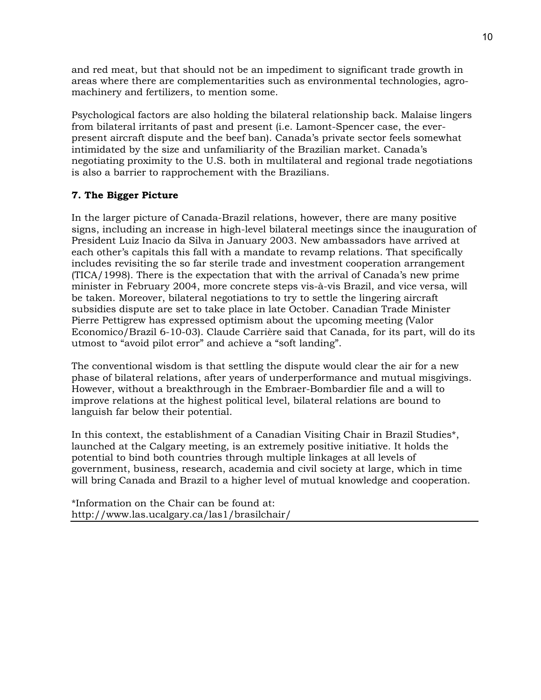and red meat, but that should not be an impediment to significant trade growth in areas where there are complementarities such as environmental technologies, agromachinery and fertilizers, to mention some.

Psychological factors are also holding the bilateral relationship back. Malaise lingers from bilateral irritants of past and present (i.e. Lamont-Spencer case, the everpresent aircraft dispute and the beef ban). Canada's private sector feels somewhat intimidated by the size and unfamiliarity of the Brazilian market. Canada's negotiating proximity to the U.S. both in multilateral and regional trade negotiations is also a barrier to rapprochement with the Brazilians.

## **7. The Bigger Picture**

In the larger picture of Canada-Brazil relations, however, there are many positive signs, including an increase in high-level bilateral meetings since the inauguration of President Luiz Inacio da Silva in January 2003. New ambassadors have arrived at each other's capitals this fall with a mandate to revamp relations. That specifically includes revisiting the so far sterile trade and investment cooperation arrangement (TICA/1998). There is the expectation that with the arrival of Canada's new prime minister in February 2004, more concrete steps vis-à-vis Brazil, and vice versa, will be taken. Moreover, bilateral negotiations to try to settle the lingering aircraft subsidies dispute are set to take place in late October. Canadian Trade Minister Pierre Pettigrew has expressed optimism about the upcoming meeting (Valor Economico/Brazil 6-10-03). Claude Carrière said that Canada, for its part, will do its utmost to "avoid pilot error" and achieve a "soft landing".

The conventional wisdom is that settling the dispute would clear the air for a new phase of bilateral relations, after years of underperformance and mutual misgivings. However, without a breakthrough in the Embraer-Bombardier file and a will to improve relations at the highest political level, bilateral relations are bound to languish far below their potential.

In this context, the establishment of a Canadian Visiting Chair in Brazil Studies\*, launched at the Calgary meeting, is an extremely positive initiative. It holds the potential to bind both countries through multiple linkages at all levels of government, business, research, academia and civil society at large, which in time will bring Canada and Brazil to a higher level of mutual knowledge and cooperation.

\*Information on the Chair can be found at: http://www.las.ucalgary.ca/las1/brasilchair/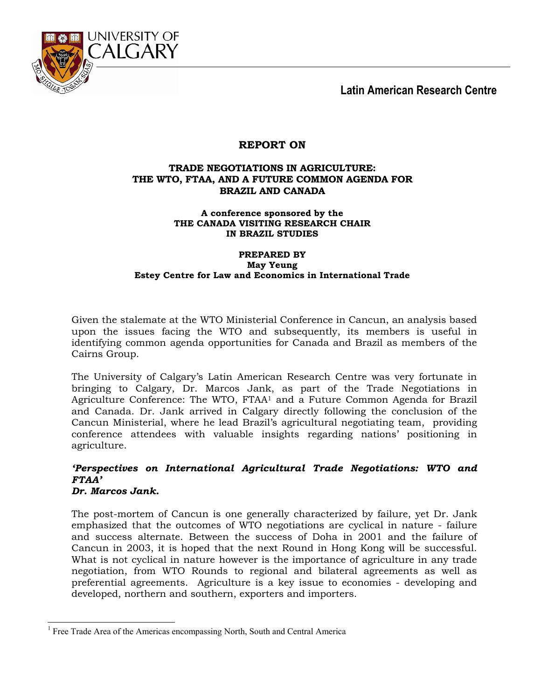

## **REPORT ON**

## **TRADE NEGOTIATIONS IN AGRICULTURE: THE WTO, FTAA, AND A FUTURE COMMON AGENDA FOR BRAZIL AND CANADA**

#### **A conference sponsored by the THE CANADA VISITING RESEARCH CHAIR IN BRAZIL STUDIES**

### **PREPARED BY May Yeung Estey Centre for Law and Economics in International Trade**

Given the stalemate at the WTO Ministerial Conference in Cancun, an analysis based upon the issues facing the WTO and subsequently, its members is useful in identifying common agenda opportunities for Canada and Brazil as members of the Cairns Group.

The University of Calgary's Latin American Research Centre was very fortunate in bringing to Calgary, Dr. Marcos Jank, as part of the Trade Negotiations in Agriculture Conference: The WTO, FTAA1 and a Future Common Agenda for Brazil and Canada. Dr. Jank arrived in Calgary directly following the conclusion of the Cancun Ministerial, where he lead Brazil's agricultural negotiating team, providing conference attendees with valuable insights regarding nations' positioning in agriculture.

### *'Perspectives on International Agricultural Trade Negotiations: WTO and FTAA' Dr. Marcos Jank.*

The post-mortem of Cancun is one generally characterized by failure, yet Dr. Jank emphasized that the outcomes of WTO negotiations are cyclical in nature - failure and success alternate. Between the success of Doha in 2001 and the failure of Cancun in 2003, it is hoped that the next Round in Hong Kong will be successful. What is not cyclical in nature however is the importance of agriculture in any trade negotiation, from WTO Rounds to regional and bilateral agreements as well as preferential agreements. Agriculture is a key issue to economies - developing and developed, northern and southern, exporters and importers.

 $\overline{a}$ 

<sup>1</sup> Free Trade Area of the Americas encompassing North, South and Central America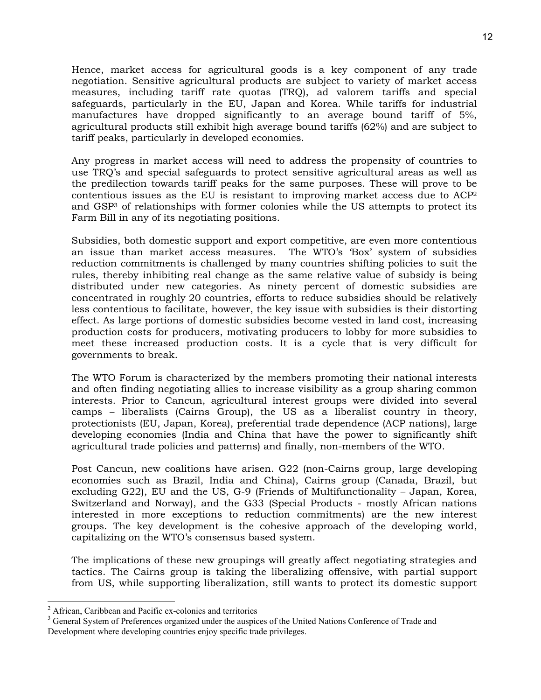Hence, market access for agricultural goods is a key component of any trade negotiation. Sensitive agricultural products are subject to variety of market access measures, including tariff rate quotas (TRQ), ad valorem tariffs and special safeguards, particularly in the EU, Japan and Korea. While tariffs for industrial manufactures have dropped significantly to an average bound tariff of 5%, agricultural products still exhibit high average bound tariffs (62%) and are subject to tariff peaks, particularly in developed economies.

Any progress in market access will need to address the propensity of countries to use TRQ's and special safeguards to protect sensitive agricultural areas as well as the predilection towards tariff peaks for the same purposes. These will prove to be contentious issues as the EU is resistant to improving market access due to ACP2 and GSP3 of relationships with former colonies while the US attempts to protect its Farm Bill in any of its negotiating positions.

Subsidies, both domestic support and export competitive, are even more contentious an issue than market access measures. The WTO's 'Box' system of subsidies reduction commitments is challenged by many countries shifting policies to suit the rules, thereby inhibiting real change as the same relative value of subsidy is being distributed under new categories. As ninety percent of domestic subsidies are concentrated in roughly 20 countries, efforts to reduce subsidies should be relatively less contentious to facilitate, however, the key issue with subsidies is their distorting effect. As large portions of domestic subsidies become vested in land cost, increasing production costs for producers, motivating producers to lobby for more subsidies to meet these increased production costs. It is a cycle that is very difficult for governments to break.

The WTO Forum is characterized by the members promoting their national interests and often finding negotiating allies to increase visibility as a group sharing common interests. Prior to Cancun, agricultural interest groups were divided into several camps – liberalists (Cairns Group), the US as a liberalist country in theory, protectionists (EU, Japan, Korea), preferential trade dependence (ACP nations), large developing economies (India and China that have the power to significantly shift agricultural trade policies and patterns) and finally, non-members of the WTO.

Post Cancun, new coalitions have arisen. G22 (non-Cairns group, large developing economies such as Brazil, India and China), Cairns group (Canada, Brazil, but excluding G22), EU and the US, G-9 (Friends of Multifunctionality – Japan, Korea, Switzerland and Norway), and the G33 (Special Products - mostly African nations interested in more exceptions to reduction commitments) are the new interest groups. The key development is the cohesive approach of the developing world, capitalizing on the WTO's consensus based system.

The implications of these new groupings will greatly affect negotiating strategies and tactics. The Cairns group is taking the liberalizing offensive, with partial support from US, while supporting liberalization, still wants to protect its domestic support

<sup>&</sup>lt;sup>2</sup> African, Caribbean and Pacific ex-colonies and territories <sup>3</sup> General System of Professores argumental under the system

<sup>&</sup>lt;sup>3</sup> General System of Preferences organized under the auspices of the United Nations Conference of Trade and Development where developing countries enjoy specific trade privileges.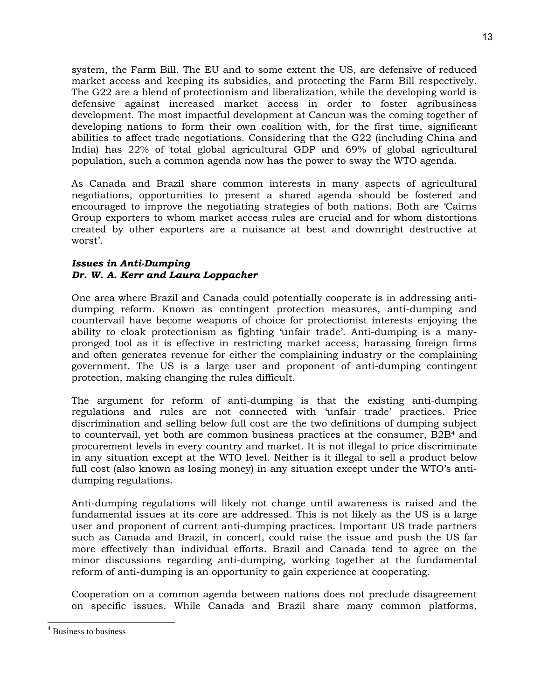system, the Farm Bill. The EU and to some extent the US, are defensive of reduced market access and keeping its subsidies, and protecting the Farm Bill respectively. The G22 are a blend of protectionism and liberalization, while the developing world is defensive against increased market access in order to foster agribusiness development. The most impactful development at Cancun was the coming together of developing nations to form their own coalition with, for the first time, significant abilities to affect trade negotiations. Considering that the G22 (including China and India) has 22% of total global agricultural GDP and 69% of global agricultural population, such a common agenda now has the power to sway the WTO agenda.

As Canada and Brazil share common interests in many aspects of agricultural negotiations, opportunities to present a shared agenda should be fostered and encouraged to improve the negotiating strategies of both nations. Both are 'Cairns Group exporters to whom market access rules are crucial and for whom distortions created by other exporters are a nuisance at best and downright destructive at worst'.

## *Issues in Anti-Dumping Dr. W. A. Kerr and Laura Loppacher*

One area where Brazil and Canada could potentially cooperate is in addressing antidumping reform. Known as contingent protection measures, anti-dumping and countervail have become weapons of choice for protectionist interests enjoying the ability to cloak protectionism as fighting 'unfair trade'. Anti-dumping is a manypronged tool as it is effective in restricting market access, harassing foreign firms and often generates revenue for either the complaining industry or the complaining government. The US is a large user and proponent of anti-dumping contingent protection, making changing the rules difficult.

The argument for reform of anti-dumping is that the existing anti-dumping regulations and rules are not connected with 'unfair trade' practices. Price discrimination and selling below full cost are the two definitions of dumping subject to countervail, yet both are common business practices at the consumer, B2B4 and procurement levels in every country and market. It is not illegal to price discriminate in any situation except at the WTO level. Neither is it illegal to sell a product below full cost (also known as losing money) in any situation except under the WTO's antidumping regulations.

Anti-dumping regulations will likely not change until awareness is raised and the fundamental issues at its core are addressed. This is not likely as the US is a large user and proponent of current anti-dumping practices. Important US trade partners such as Canada and Brazil, in concert, could raise the issue and push the US far more effectively than individual efforts. Brazil and Canada tend to agree on the minor discussions regarding anti-dumping, working together at the fundamental reform of anti-dumping is an opportunity to gain experience at cooperating.

Cooperation on a common agenda between nations does not preclude disagreement on specific issues. While Canada and Brazil share many common platforms,

 $\overline{a}$ 

<sup>4</sup> Business to business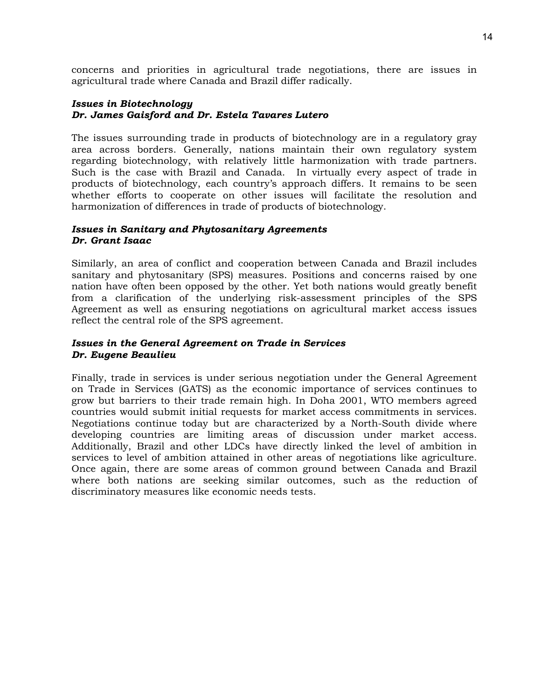concerns and priorities in agricultural trade negotiations, there are issues in agricultural trade where Canada and Brazil differ radically.

### *Issues in Biotechnology Dr. James Gaisford and Dr. Estela Tavares Lutero*

The issues surrounding trade in products of biotechnology are in a regulatory gray area across borders. Generally, nations maintain their own regulatory system regarding biotechnology, with relatively little harmonization with trade partners. Such is the case with Brazil and Canada. In virtually every aspect of trade in products of biotechnology, each country's approach differs. It remains to be seen whether efforts to cooperate on other issues will facilitate the resolution and harmonization of differences in trade of products of biotechnology.

## *Issues in Sanitary and Phytosanitary Agreements Dr. Grant Isaac*

Similarly, an area of conflict and cooperation between Canada and Brazil includes sanitary and phytosanitary (SPS) measures. Positions and concerns raised by one nation have often been opposed by the other. Yet both nations would greatly benefit from a clarification of the underlying risk-assessment principles of the SPS Agreement as well as ensuring negotiations on agricultural market access issues reflect the central role of the SPS agreement.

## *Issues in the General Agreement on Trade in Services Dr. Eugene Beaulieu*

Finally, trade in services is under serious negotiation under the General Agreement on Trade in Services (GATS) as the economic importance of services continues to grow but barriers to their trade remain high. In Doha 2001, WTO members agreed countries would submit initial requests for market access commitments in services. Negotiations continue today but are characterized by a North-South divide where developing countries are limiting areas of discussion under market access. Additionally, Brazil and other LDCs have directly linked the level of ambition in services to level of ambition attained in other areas of negotiations like agriculture. Once again, there are some areas of common ground between Canada and Brazil where both nations are seeking similar outcomes, such as the reduction of discriminatory measures like economic needs tests.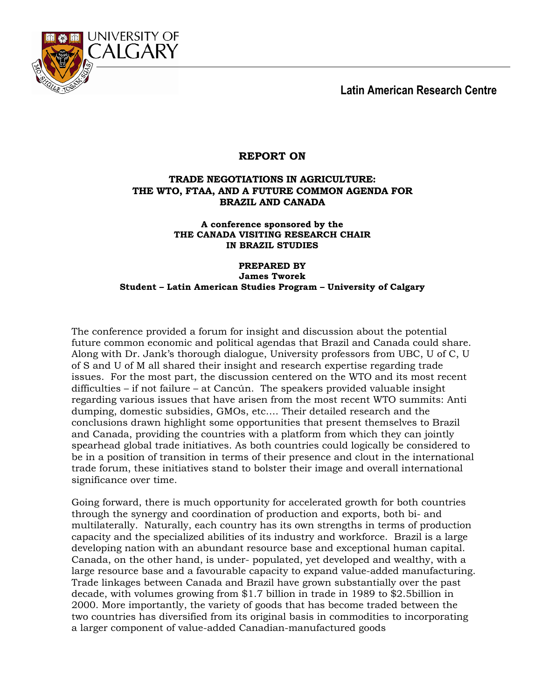

## **REPORT ON**

## **TRADE NEGOTIATIONS IN AGRICULTURE: THE WTO, FTAA, AND A FUTURE COMMON AGENDA FOR BRAZIL AND CANADA**

**A conference sponsored by the THE CANADA VISITING RESEARCH CHAIR IN BRAZIL STUDIES** 

**PREPARED BY James Tworek Student – Latin American Studies Program – University of Calgary** 

The conference provided a forum for insight and discussion about the potential future common economic and political agendas that Brazil and Canada could share. Along with Dr. Jank's thorough dialogue, University professors from UBC, U of C, U of S and U of M all shared their insight and research expertise regarding trade issues. For the most part, the discussion centered on the WTO and its most recent difficulties – if not failure – at Cancún. The speakers provided valuable insight regarding various issues that have arisen from the most recent WTO summits: Anti dumping, domestic subsidies, GMOs, etc…. Their detailed research and the conclusions drawn highlight some opportunities that present themselves to Brazil and Canada, providing the countries with a platform from which they can jointly spearhead global trade initiatives. As both countries could logically be considered to be in a position of transition in terms of their presence and clout in the international trade forum, these initiatives stand to bolster their image and overall international significance over time.

Going forward, there is much opportunity for accelerated growth for both countries through the synergy and coordination of production and exports, both bi- and multilaterally. Naturally, each country has its own strengths in terms of production capacity and the specialized abilities of its industry and workforce. Brazil is a large developing nation with an abundant resource base and exceptional human capital. Canada, on the other hand, is under- populated, yet developed and wealthy, with a large resource base and a favourable capacity to expand value-added manufacturing. Trade linkages between Canada and Brazil have grown substantially over the past decade, with volumes growing from \$1.7 billion in trade in 1989 to \$2.5billion in 2000. More importantly, the variety of goods that has become traded between the two countries has diversified from its original basis in commodities to incorporating a larger component of value-added Canadian-manufactured goods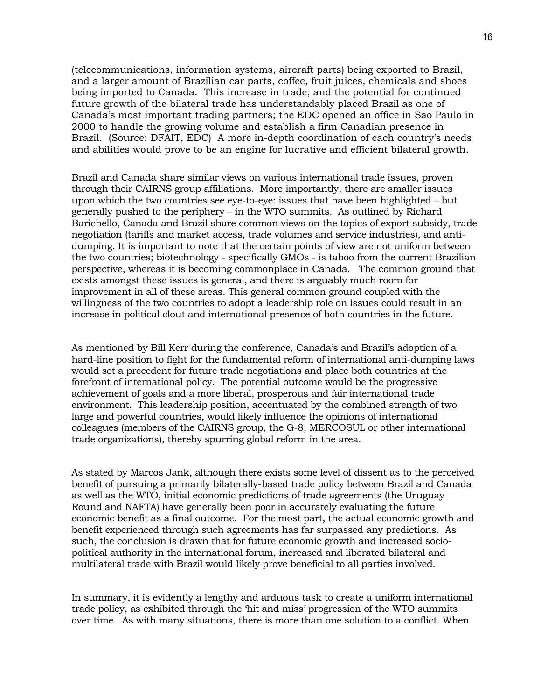(telecommunications, information systems, aircraft parts) being exported to Brazil, and a larger amount of Brazilian car parts, coffee, fruit juices, chemicals and shoes being imported to Canada. This increase in trade, and the potential for continued future growth of the bilateral trade has understandably placed Brazil as one of Canada's most important trading partners; the EDC opened an office in São Paulo in 2000 to handle the growing volume and establish a firm Canadian presence in Brazil. (Source: DFAIT, EDC) A more in-depth coordination of each country's needs and abilities would prove to be an engine for lucrative and efficient bilateral growth.

Brazil and Canada share similar views on various international trade issues, proven through their CAIRNS group affiliations. More importantly, there are smaller issues upon which the two countries see eye-to-eye: issues that have been highlighted – but generally pushed to the periphery – in the WTO summits. As outlined by Richard Barichello, Canada and Brazil share common views on the topics of export subsidy, trade negotiation (tariffs and market access, trade volumes and service industries), and antidumping. It is important to note that the certain points of view are not uniform between the two countries; biotechnology - specifically GMOs - is taboo from the current Brazilian perspective, whereas it is becoming commonplace in Canada. The common ground that exists amongst these issues is general, and there is arguably much room for improvement in all of these areas. This general common ground coupled with the willingness of the two countries to adopt a leadership role on issues could result in an increase in political clout and international presence of both countries in the future.

As mentioned by Bill Kerr during the conference, Canada's and Brazil's adoption of a hard-line position to fight for the fundamental reform of international anti-dumping laws would set a precedent for future trade negotiations and place both countries at the forefront of international policy. The potential outcome would be the progressive achievement of goals and a more liberal, prosperous and fair international trade environment. This leadership position, accentuated by the combined strength of two large and powerful countries, would likely influence the opinions of international colleagues (members of the CAIRNS group, the G-8, MERCOSUL or other international trade organizations), thereby spurring global reform in the area.

As stated by Marcos Jank, although there exists some level of dissent as to the perceived benefit of pursuing a primarily bilaterally-based trade policy between Brazil and Canada as well as the WTO, initial economic predictions of trade agreements (the Uruguay Round and NAFTA) have generally been poor in accurately evaluating the future economic benefit as a final outcome. For the most part, the actual economic growth and benefit experienced through such agreements has far surpassed any predictions. As such, the conclusion is drawn that for future economic growth and increased sociopolitical authority in the international forum, increased and liberated bilateral and multilateral trade with Brazil would likely prove beneficial to all parties involved.

In summary, it is evidently a lengthy and arduous task to create a uniform international trade policy, as exhibited through the 'hit and miss' progression of the WTO summits over time. As with many situations, there is more than one solution to a conflict. When